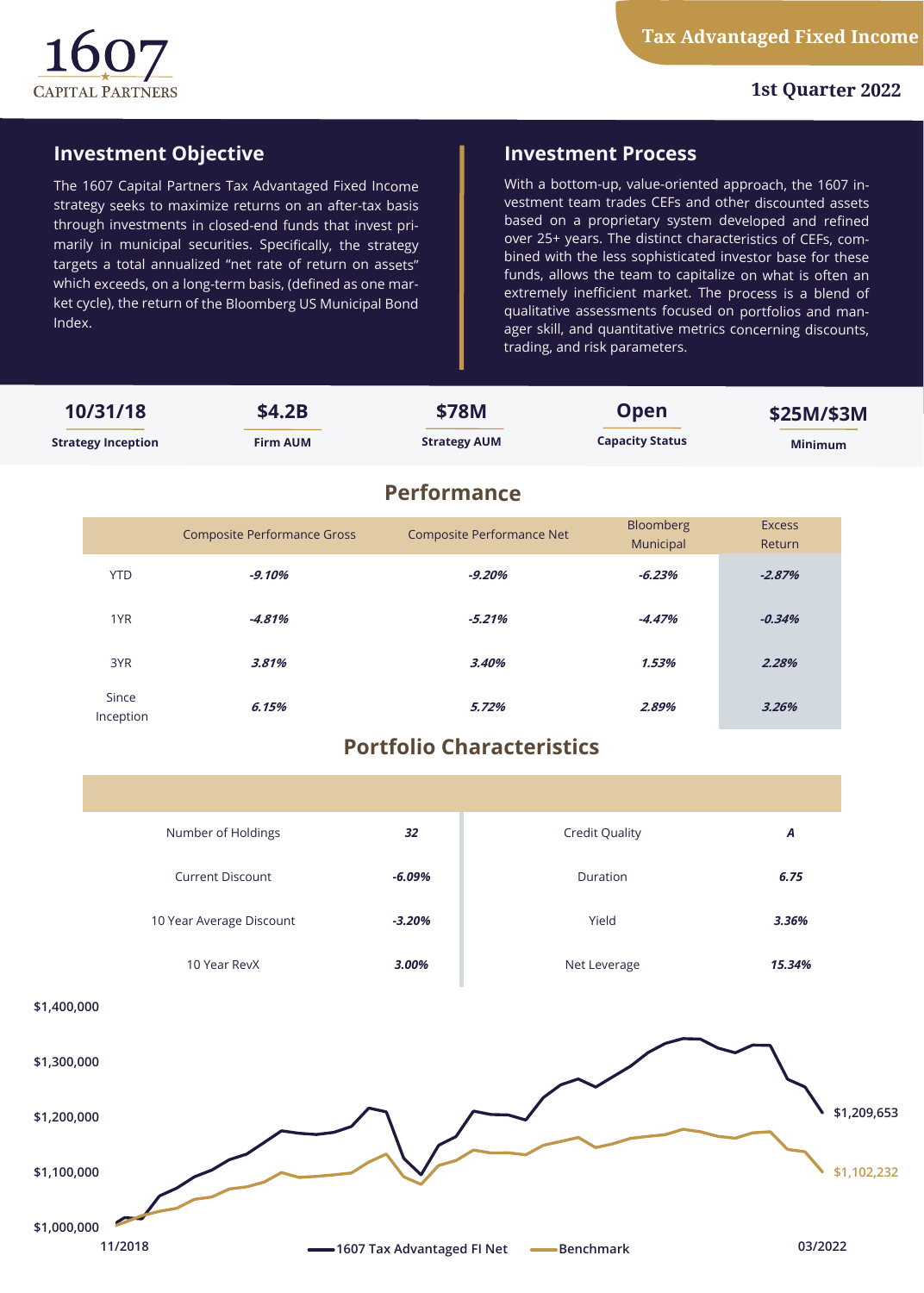

# **Investment Objective**

The 1607 Capital Partners Tax Advantaged Fixed Income strategy seeks to maximize returns on an after-tax basis through investments in closed-end funds that invest primarily in municipal securities. Specifically, the strategy targets a total annualized "net rate of return on assets" which exceeds, on a long-term basis, (defined as one market cycle), the return of the Bloomberg US Municipal Bond Index.

## **Investment Process**

With a bottom-up, value-oriented approach, the 1607 investment team trades CEFs and other discounted assets based on a proprietary system developed and refined over 25+ years. The distinct characteristics of CEFs, combined with the less sophisticated investor base for these funds, allows the team to capitalize on what is often an extremely inefficient market. The process is a blend of qualitative assessments focused on portfolios and manager skill, and quantitative metrics concerning discounts, trading, and risk parameters.

| 10/31/18<br><b>Strategy Inception</b>                            |                                  | \$4.2B<br><b>Firm AUM</b>          | \$78M<br><b>Strategy AUM</b> |                           | <b>Open</b><br><b>Capacity Status</b> | \$25M/\$3M<br><b>Minimum</b> |             |
|------------------------------------------------------------------|----------------------------------|------------------------------------|------------------------------|---------------------------|---------------------------------------|------------------------------|-------------|
|                                                                  |                                  | <b>Performance</b>                 |                              |                           |                                       |                              |             |
|                                                                  |                                  | <b>Composite Performance Gross</b> |                              | Composite Performance Net | Bloomberg<br>Municipal                | <b>Excess</b><br>Return      |             |
|                                                                  | <b>YTD</b>                       | $-9.10%$                           |                              | $-9.20%$                  | $-6.23%$                              | $-2.87%$                     |             |
|                                                                  | 1YR                              | $-4.81%$                           | $-5.21%$                     |                           | $-4.47%$                              | $-0.34%$                     |             |
|                                                                  | 3YR                              | 3.81%                              | 3.40%                        |                           | 1.53%                                 | 2.28%                        |             |
|                                                                  | Since<br>Inception               | 6.15%                              | 5.72%                        |                           | 2.89%                                 | 3.26%                        |             |
|                                                                  | <b>Portfolio Characteristics</b> |                                    |                              |                           |                                       |                              |             |
|                                                                  |                                  |                                    |                              |                           |                                       |                              |             |
|                                                                  | Number of Holdings               |                                    | 32                           | <b>Credit Quality</b>     |                                       | A                            |             |
|                                                                  |                                  | <b>Current Discount</b>            | $-6.09%$                     |                           | Duration                              | 6.75                         |             |
|                                                                  |                                  | 10 Year Average Discount           | $-3.20%$                     |                           | Yield                                 | 3.36%                        |             |
|                                                                  | 10 Year RevX                     |                                    | 3.00%                        | Net Leverage              |                                       | 15.34%                       |             |
| \$1,400,000                                                      |                                  |                                    |                              |                           |                                       |                              |             |
| \$1,300,000                                                      |                                  |                                    |                              |                           |                                       |                              |             |
| \$1,200,000                                                      |                                  |                                    |                              |                           |                                       |                              | \$1,209,653 |
| \$1,100,000                                                      |                                  |                                    |                              |                           |                                       |                              | \$1,102,232 |
| \$1,000,000<br>11/2018<br>-1607 Tax Advantaged FI Net -Benchmark |                                  |                                    |                              |                           |                                       | 03/2022                      |             |